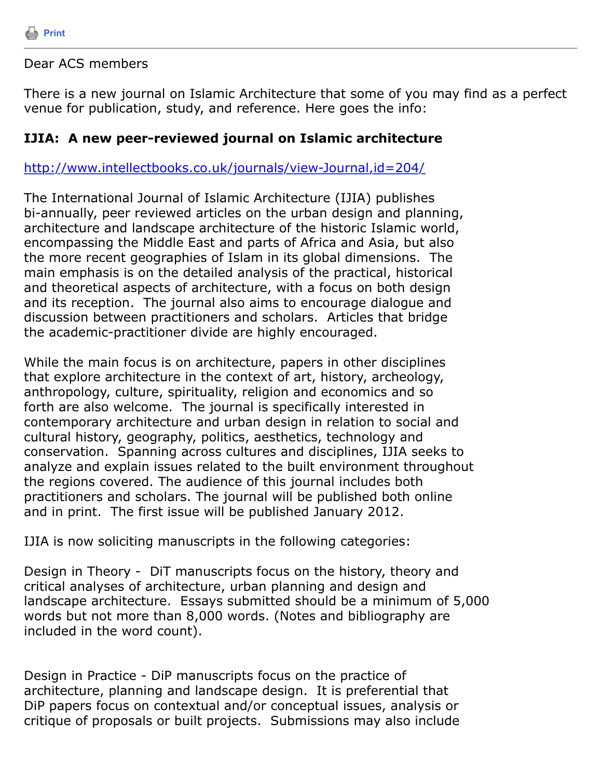

Dear ACS members

There is a new journal on Islamic Architecture that some of you may find as a perfect venue for publication, study, and reference. Here goes the info:

## **IJIA: A new peer-reviewed journal on Islamic architecture**

<http://www.intellectbooks.co.uk/journals/view-Journal,id=204/>

The International Journal of Islamic Architecture (IJIA) publishes bi-annually, peer reviewed articles on the urban design and planning, architecture and landscape architecture of the historic Islamic world, encompassing the Middle East and parts of Africa and Asia, but also the more recent geographies of Islam in its global dimensions. The main emphasis is on the detailed analysis of the practical, historical and theoretical aspects of architecture, with a focus on both design and its reception. The journal also aims to encourage dialogue and discussion between practitioners and scholars. Articles that bridge the academic-practitioner divide are highly encouraged.

While the main focus is on architecture, papers in other disciplines that explore architecture in the context of art, history, archeology, anthropology, culture, spirituality, religion and economics and so forth are also welcome. The journal is specifically interested in contemporary architecture and urban design in relation to social and cultural history, geography, politics, aesthetics, technology and conservation. Spanning across cultures and disciplines, IJIA seeks to analyze and explain issues related to the built environment throughout the regions covered. The audience of this journal includes both practitioners and scholars. The journal will be published both online and in print. The first issue will be published January 2012.

IJIA is now soliciting manuscripts in the following categories:

Design in Theory - DiT manuscripts focus on the history, theory and critical analyses of architecture, urban planning and design and landscape architecture. Essays submitted should be a minimum of 5,000 words but not more than 8,000 words. (Notes and bibliography are included in the word count).

Design in Practice - DiP manuscripts focus on the practice of architecture, planning and landscape design. It is preferential that DiP papers focus on contextual and/or conceptual issues, analysis or critique of proposals or built projects. Submissions may also include